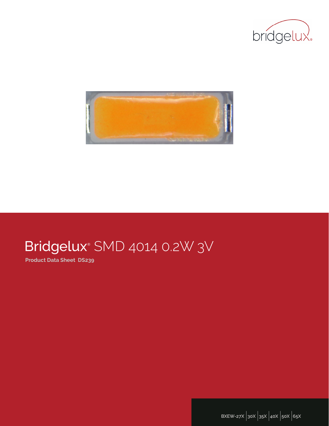



# Bridgelux<sup>®</sup> SMD 4014 0.2W 3V

**Product Data Sheet DS239**

**BXEW-27X** |**30X** |**35X** |**40X** |**50X** |**65X**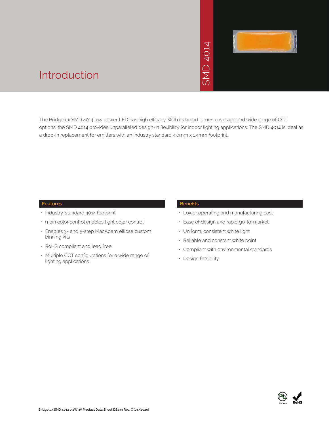# SMD 4014



## Introduction

The Bridgelux SMD 4014 low power LED has high efficacy. With its broad lumen coverage and wide range of CCT options, the SMD 4014 provides unparalleled design-in flexibility for indoor lighting applications. The SMD 4014 is ideal as a drop-in replacement for emitters with an industry standard 4.0mm x 1.4mm footprint. →<br>• Solid Strand Responsive<br>Strand Strand Control Strand Control Strand<br>Franch Strand Control Control Control Control Control Control Compliant with e<br>• Compliant with e<br>• Design flexibility

#### **Features**

- Industry-standard 4014 footprint
- 9 bin color control enables tight color control
- Enables 3- and 5-step MacAdam ellipse custom binning kits
- RoHS compliant and lead free
- Multiple CCT configurations for a wide range of lighting applications

#### **Benefits**

- Lower operating and manufacturing cost
- Ease of design and rapid go-to-market
- Uniform, consistent white light
- Reliable and constant white point
- Compliant with environmental standards
- · Design flexibility

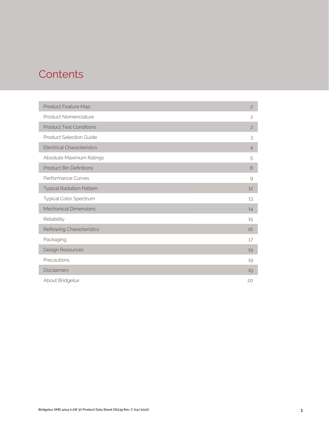## **Contents**

| Product Feature Map               | $\overline{c}$ |
|-----------------------------------|----------------|
| Product Nomenclature              | $\mathbf{2}$   |
| <b>Product Test Conditions</b>    | $\overline{c}$ |
| <b>Product Selection Guide</b>    | 3              |
| <b>Electrical Characteristics</b> | $\overline{4}$ |
| Absolute Maximum Ratings          | 5              |
| <b>Product Bin Definitions</b>    | 6              |
| Performance Curves                | 9              |
| <b>Typical Radiation Pattern</b>  | 12             |
| Typical Color Spectrum            | 13             |
| <b>Mechanical Dimensions</b>      | 14             |
| Reliability                       | 15             |
| Reflowing Characteristics         | 16             |
| Packaging                         | 17             |
| Design Resources                  | 19             |
| Precautions                       | 19             |
| <b>Disclaimers</b>                | 19             |
| About Bridgelux                   | 20             |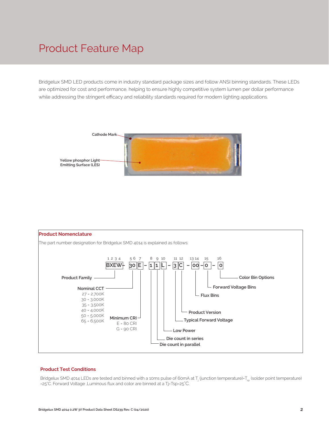## Product Feature Map

Bridgelux SMD LED products come in industry standard package sizes and follow ANSI binning standards. These LEDs are optimized for cost and performance, helping to ensure highly competitive system lumen per dollar performance while addressing the stringent efficacy and reliability standards required for modern lighting applications.





#### **Product Test Conditions**

Bridgelux SMD 4014 LEDs are tested and binned with a 10ms pulse of 60mA at T<sub>j</sub> (junction temperature)=T<sub>sp</sub> (solder point temperature) =25°C. Forward Voltage 、,Luminous flux and color are binned at a Tj=Tsp=25°C.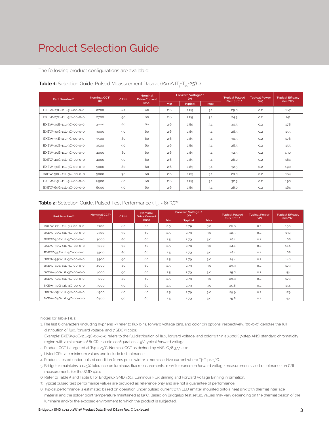## Product Selection Guide

The following product configurations are available:

| Part Number <sup>1,6</sup> | Nominal CCT <sup>2</sup> | CRI3.5 | <b>Nominal</b><br><b>Drive Current</b> |     | Forward Voltage <sup>4.5</sup><br>(V) |            | <b>Typical Pulsed</b> | <b>Typical Power</b> | <b>Typical Efficacy</b>     |
|----------------------------|--------------------------|--------|----------------------------------------|-----|---------------------------------------|------------|-----------------------|----------------------|-----------------------------|
|                            | (K)                      |        | (mA)                                   | Min | <b>Typical</b>                        | <b>Max</b> | Flux $(lm)^{4.5}$     | (W)                  | $\frac{\text{m}}{\text{m}}$ |
| BXEW-27E-11L-3C-00-0-0     | 2700                     | 80     | 60                                     | 2.6 | 2.85                                  | 3.1        | 29.0                  | O.2                  | 167                         |
| BXEW-27G-11L-3C-00-0-0     | 2700                     | 90     | 60                                     | 2.6 | 2.85                                  | 3.1        | 24.5                  | O.2                  | 141                         |
| BXEW-30E-11L-3C-00-0-0     | 3000                     | 80     | 60                                     | 2.6 | 2.85                                  | 3.1        | 30.5                  | O.2                  | 178                         |
| BXEW-30G-11L-3C-00-0-0     | 3000                     | 90     | 60                                     | 2.6 | 2.85                                  | 3.1        | 26.5                  | O.2                  | 155                         |
| BXEW-35E-11L-3C-00-0-0     | 3500                     | 80     | 60                                     | 2.6 | 2.85                                  | 3.1        | 30.5                  | O.2                  | 178                         |
| BXEW-35G-11L-3C-00-0-0     | 3500                     | 90     | 60                                     | 2.6 | 2.85                                  | 3.1        | 26.5                  | O.2                  | 155                         |
| BXEW-40E-11L-3C-00-0-0     | 4000                     | 80     | 60                                     | 2.6 | 2.85                                  | 3.1        | 32.5                  | O.2                  | 190                         |
| BXEW-40G-11L-3C-00-0-0     | 4000                     | 90     | 60                                     | 2.6 | 2.85                                  | 3.1        | 28.0                  | O.2                  | 164                         |
| BXEW-50E-11L-3C-00-0-0     | 5000                     | 80     | 60                                     | 2.6 | 2.85                                  | 3.1        | 32.5                  | O.2                  | 190                         |
| BXEW-50G-11L-3C-00-0-0     | 5000                     | 90     | 60                                     | 2.6 | 2.85                                  | 3.1        | 28.0                  | O.2                  | 164                         |
| BXEW-65E-11L-3C-00-0-0     | 6500                     | 80     | 60                                     | 2.6 | 2.85                                  | 3.1        | 32.5                  | O.2                  | 190                         |
| BXEW-65G-11L-3C-00-0-0     | 6500                     | 90     | 60                                     | 2.6 | 2.85                                  | 3.1        | 28.0                  | O.2                  | 164                         |

#### **Table 1:** Selection Guide, Pulsed Measurement Data at 60mA (T<sub>j</sub>=T<sub>sp</sub>=25°C)

**Table 2:** Selection Guide, Pulsed Test Performance  $(T_{sp} = 85^{\circ}C)^{7,8}$ 

| Part Number <sup>1,6</sup> | Nominal<br>Nominal CCT <sup>2</sup><br>CRI35<br><b>Drive Current</b> |    |      | Forward Voltage <sup>4.5</sup><br>(V) |                | <b>Typical Pulsed</b> | <b>Typical Power</b>     | <b>Typical Efficacy</b> |                              |
|----------------------------|----------------------------------------------------------------------|----|------|---------------------------------------|----------------|-----------------------|--------------------------|-------------------------|------------------------------|
|                            | (K)                                                                  |    | (mA) | Min                                   | <b>Typical</b> | Max                   | Flux (lm) <sup>4.5</sup> | (W)                     | $\frac{\text{Im}}{\text{W}}$ |
| BXEW-27E-11L-3C-00-0-0     | 2700                                                                 | 80 | 60   | 2.5                                   | 2.79           | 3.0                   | 26.6                     | O.2                     | 156                          |
| BXEW-27G-11L-3C-00-0-0     | 2700                                                                 | 90 | 60   | 2.5                                   | 2.79           | 3.0                   | 22.5                     | O.2                     | 132                          |
| BXEW-30E-11L-3C-00-0-0     | 3000                                                                 | 80 | 60   | 2.5                                   | 2.79           | 3.0                   | 28.1                     | O.2                     | 168                          |
| BXEW-30G-11L-3C-00-0-0     | 3000                                                                 | 90 | 60   | 2.5                                   | 2.79           | 3.0                   | 24.4                     | O.2                     | 146                          |
| BXEW-35E-11L-3C-00-0-0     | 3500                                                                 | 80 | 60   | 2.5                                   | 2.79           | 3.0                   | 28.1                     | O.2                     | 168                          |
| BXEW-35G-11L-3C-00-0-0     | 3500                                                                 | 90 | 60   | 2.5                                   | 2.79           | 3.0                   | 24.4                     | O.2                     | 146                          |
| BXEW-40E-11L-3C-00-0-0     | 4000                                                                 | 80 | 60   | 2.5                                   | 2.79           | 3.0                   | 29.9                     | O.2                     | 179                          |
| BXEW-40G-11L-3C-00-0-0     | 4000                                                                 | 90 | 60   | 2.5                                   | 2.79           | 3.0                   | 25.8                     | O.2                     | 154                          |
| BXEW-50E-11L-3C-00-0-0     | 5000                                                                 | 80 | 60   | 2.5                                   | 2.79           | 3.0                   | 29.9                     | O.2                     | 179                          |
| BXEW-50G-11L-3C-00-0-0     | 5000                                                                 | 90 | 60   | 2.5                                   | 2.79           | 3.0                   | 25.8                     | O.2                     | 154                          |
| BXEW-65E-11L-3C-00-0-0     | 6500                                                                 | 80 | 60   | 2.5                                   | 2.79           | 3.0                   | 29.9                     | O.2                     | 179                          |
| BXEW-65G-11L-3C-00-0-0     | 6500                                                                 | 90 | 60   | 2.5                                   | 2.79           | 3.0                   | 25.8                     | O.2                     | 154                          |

Notes for Table 1 & 2:

1. The last 6 characters (including hyphens '-') refer to flux bins, forward voltage bins, and color bin options, respectively. "00-0-0" denotes the full distribution of flux, forward voltage, and 7 SDCM color.

 Example: BXEW-30E-11L-3C-00-0-0 refers to the full distribution of flux, forward voltage, and color within a 3000K 7-step ANSI standard chromaticity region with a minimum of 80CRI, 1x1 die configuration, 2.9V typical forward voltage.

- 2. Product CCT is targeted at Tsp = 25°C. Nominal CCT as defined by ANSI C78.377-2011.
- 3. Listed CRIs are minimum values and include test tolerance.
- 4. Products tested under pulsed condition (10ms pulse width) at nominal drive current where Tj=Tsp=25°C.
- 5. Bridgelux maintains a ±7.5% tolerance on luminous flux measurements, ±0.1V tolerance on forward voltage measurements, and ±2 tolerance on CRI measurements for the SMD 4014.
- 6. Refer to Table 5 and Table 6 for Bridgelux SMD 4014 Luminous Flux Binning and Forward Voltage Binning information.
- 7. Typical pulsed test performance values are provided as reference only and are not a guarantee of performance.

8. Typical performance is estimated based on operation under pulsed current with LED emitter mounted onto a heat sink with thermal interface material and the solder point temperature maintained at 85°C. Based on Bridgelux test setup, values may vary depending on the thermal design of the luminaire and/or the exposed environment to which the product is subjected.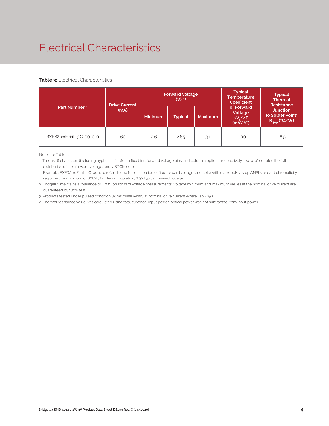## Electrical Characteristics

#### **Table 3: Electrical Characteristics**

|                          |      | <b>Forward Voltage</b><br>$(V)$ <sup>2,3</sup><br><b>Drive Current</b> |                                  |     | <b>Typical</b><br><b>Temperature</b><br><b>Coefficient</b> | <b>Typical</b><br><b>Thermal</b><br><b>Resistance</b>                |  |
|--------------------------|------|------------------------------------------------------------------------|----------------------------------|-----|------------------------------------------------------------|----------------------------------------------------------------------|--|
| Part Number <sup>1</sup> | (mA) | <b>Minimum</b>                                                         | <b>Maximum</b><br><b>Typical</b> |     | of Forward<br>Voltage<br>$\Delta V_z / \Delta T$<br>(mV/C) | <b>Junction</b><br>to Solder Point <sup>4</sup><br>$R_{j-sp}$ (°C/W) |  |
| BXEW-xxE-11L-3C-00-0-0   | 60   | 2.6                                                                    | 2.85                             | 3.1 | $-1.00$                                                    | 18.5                                                                 |  |

Notes for Table 3:

1. The last 6 characters (including hyphens '-') refer to flux bins, forward voltage bins, and color bin options, respectively. "00-0-0" denotes the full distribution of flux, forward voltage, and 7 SDCM color.

 Example: BXEW-30E-11L-3C-00-0-0 refers to the full distribution of flux, forward voltage, and color within a 3000K 7-step ANSI standard chromaticity region with a minimum of 80CRI, 1x1 die configuration, 2.9V typical forward voltage.

2. Bridgelux maintains a tolerance of ± 0.1V on forward voltage measurements. Voltage minimum and maximum values at the nominal drive current are guaranteed by 100% test.

3. Products tested under pulsed condition (10ms pulse width) at nominal drive current where Tsp = 25°C.

4. Thermal resistance value was calculated using total electrical input power; optical power was not subtracted from input power.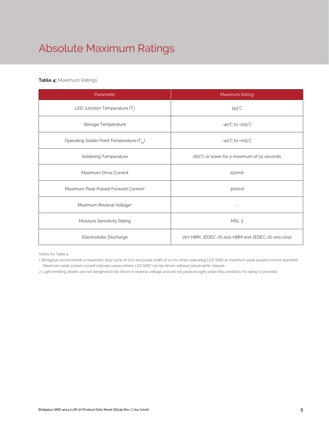# Absolute Maximum Ratings

## **Table 4:** Maximum Ratings

| Parameter                                             | Maximum Rating                                  |
|-------------------------------------------------------|-------------------------------------------------|
| LED Junction Temperature $(T_i)$                      | $125^{\circ}$ C                                 |
| Storage Temperature                                   | $-40^{\circ}$ C to $+105^{\circ}$ C             |
| Operating Solder Point Temperature (T <sub>Sp</sub> ) | $-40^{\circ}$ C to $+105^{\circ}$ C             |
| <b>Soldering Temperature</b>                          | 260°C or lower for a maximum of 10 seconds      |
| Maximum Drive Current                                 | 150 <sub>m</sub> A                              |
| Maximum Peak Pulsed Forward Current <sup>1</sup>      | 300 <sub>m</sub> A                              |
| Maximum Reverse Voltage <sup>2</sup>                  |                                                 |
| Moisture Sensitivity Rating                           | MSL <sub>3</sub>                                |
| Electrostatic Discharge                               | 2kV HBM, JEDEC-JS-001-HBM and JEDEC-JS-001-2012 |

Notes for Table 4:

1. Bridgelux recommends a maximum duty cycle of 10% and pulse width of 10 ms when operating LED SMD at maximum peak pulsed current specified. Maximum peak pulsed current indicate values where LED SMD can be driven without catastrophic failures.

2. Light emitting diodes are not designed to be driven in reverse voltage and will not produce light under this condition. no rating is provided.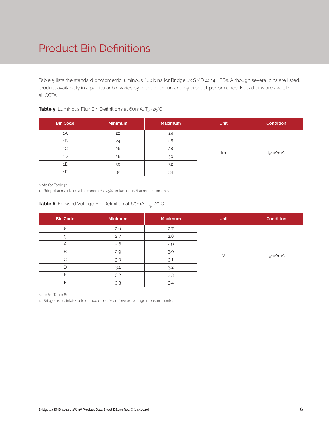## Product Bin Definitions

Table 5 lists the standard photometric luminous flux bins for Bridgelux SMD 4014 LEDs. Although several bins are listed, product availability in a particular bin varies by production run and by product performance. Not all bins are available in all CCTs.

| <b>Bin Code</b> | <b>Minimum</b> | <b>Maximum</b> | <b>Unit</b> | Condition    |
|-----------------|----------------|----------------|-------------|--------------|
| 1A              | 22             | 24             |             |              |
| 1B              | 24             | 26             |             |              |
| 1 <sup>C</sup>  | 26             | 28             | lm          | $I_c = 60mA$ |
| 1D              | 28             | 30             |             |              |
| 1E              | 30             | 32             |             |              |
| 1F              | 32             | 34             |             |              |

## **Table 5:** Luminous Flux Bin Definitions at 60mA, T<sub>sp</sub>=25<sup>°</sup>C

Note for Table 5:

1. Bridgelux maintains a tolerance of ± 7.5% on luminous flux measurements.

| <b>Bin Code</b> | <b>Minimum</b> | Maximum | <b>Unit</b> | <b>Condition</b> |
|-----------------|----------------|---------|-------------|------------------|
| 8               | 2.6            | 2.7     |             |                  |
| 9               | 2.7            | 2.8     |             |                  |
| Α               | 2.8            | 2.9     |             |                  |
| B               | 2.9            | 3.0     |             | $I_c = 60mA$     |
| C               | 3.0            | 3.1     |             |                  |
| D               | 3.1            | 3.2     |             |                  |
| ┍               | 3.2            | 3.3     |             |                  |
| ┍               | 3.3            | 3.4     |             |                  |

## **Table 6:** Forward Voltage Bin Definition at 60mA, T<sub>sp</sub>=25°C

Note for Table 6:

1. Bridgelux maintains a tolerance of ± 0.1V on forward voltage measurements.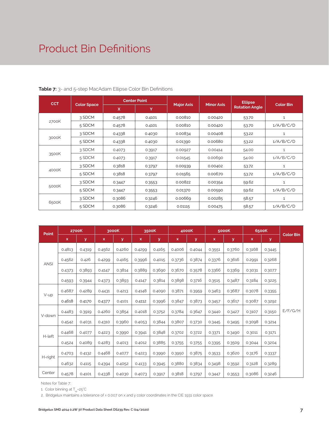## Product Bin Definitions

| <b>CCT</b> |                    | <b>Center Point</b> |        |                   |                   | <b>Ellipse</b>        |                  |
|------------|--------------------|---------------------|--------|-------------------|-------------------|-----------------------|------------------|
|            | <b>Color Space</b> | X.                  | Y      | <b>Major Axis</b> | <b>Minor Axis</b> | <b>Rotation Angle</b> | <b>Color Bin</b> |
|            | 3 SDCM             | 0.4578              | 0.4101 | 0.00810           | 0.00420           | 53.70                 | $\mathbf{1}$     |
| 2700K      | 5 SDCM             | 0.4578              | 0.4101 | 0.00810           | 0.00420           | 53.70                 | 1/A/B/C/D        |
|            | 3 SDCM             | 0.4338              | 0.4030 | 0.00834           | 0.00408           | 53.22                 | 1                |
| 3000K      | 5 SDCM             | 0.4338              | 0.4030 | 0.01390           | 0.00680           | 53.22                 | 1/A/B/C/D        |
|            | 3 SDCM             | 0.4073              | 0.3917 | 0.00927           | 0.00414           | 54.00                 | $\mathbf{1}$     |
| 3500K      | 5 SDCM             | 0.4073              | 0.3917 | 0.01545           | 0.00690           | 54.00                 | 1/A/B/C/D        |
|            | 3 SDCM             | 0.3818              | 0.3797 | 0.00939           | 0.00402           | 53.72                 | $\mathbf{1}$     |
| 4000K      | 5 SDCM             | 0.3818              | 0.3797 | 0.01565           | 0.00670           | 53.72                 | 1/A/B/C/D        |
|            | 3 SDCM             | 0.3447              | 0.3553 | 0.00822           | 0.00354           | 59.62                 | $\mathbf{1}$     |
| 5000K      | 5 SDCM             | 0.3447              | 0.3553 | 0.01370           | 0.00590           | 59.62                 | 1/A/B/C/D        |
|            | 3 SDCM             | 0.3086              | 0.3246 | 0.00669           | 0.00285           | 58.57                 | 1                |
| 6500K      | 5 SDCM             | 0.3086              | 0.3246 | 0.01115           | 0.00475           | 58.57                 | 1/A/B/C/D        |

## **Table 7:** 3- and 5-step MacAdam Ellipse Color Bin Definitions

| Point       |        | 2700K  |             | 3000K  |             | 3500K  |             | 4000K  |        | 5000K  |        | 6500K        | <b>Color Bin</b> |
|-------------|--------|--------|-------------|--------|-------------|--------|-------------|--------|--------|--------|--------|--------------|------------------|
|             | x      | У      | $\mathsf X$ | y      | $\mathbf x$ | У      | $\mathbf x$ | y      | x      | y      | x      | $\mathbf{y}$ |                  |
|             | 0.4813 | 0.4319 | 0.4562      | 0.4260 | 0.4299      | 0.4165 | 0.4006      | 0.4044 | 0.3551 | 0.3760 | 0.3168 | 0.3445       |                  |
| <b>ANSI</b> | 0.4562 | 0.426  | 0.4299      | 0.4165 | 0.3996      | 0.4015 | 0.3736      | 0.3874 | 0.3376 | 0.3616 | 0.2991 | 0.3268       |                  |
|             | 0.4373 | 0.3893 | 0.4147      | 0.3814 | 0.3889      | 0.3690 | 0.3670      | 0.3578 | 0.3366 | 0.3369 | 0.3031 | 0.3077       |                  |
|             | 0.4593 | 0.3944 | 0.4373      | 0.3893 | 0.4147      | 0.3814 | 0.3898      | 0.3716 | 0.3515 | 0.3487 | 0.3184 | 0.3225       |                  |
| V-up        | 0.4687 | 0.4289 | 0.4431      | 0.4213 | 0.4148      | 0.4090 | 0.3871      | 0.3959 | 0.3463 | 0.3687 | 0.3078 | 0.3355       |                  |
|             | 0.4618 | 0.4170 | 0.4377      | 0.4101 | 0.4112      | 0.3996 | 0.3847      | 0.3873 | 0.3457 | 0.3617 | 0.3087 | 0.3292       |                  |
| V-down      | 0.4483 | 0.3919 | 0.4260      | 0.3854 | 0.4018      | 0.3752 | 0.3784      | 0.3647 | 0.3440 | 0.3427 | 0.3107 | 0.3150       | E/F/G/H          |
|             | 0.4542 | 0.4031 | 0.4310      | 0.3960 | 0.4053      | 0.3844 | 0.3807      | 0.3730 | 0.3445 | 0.3495 | 0.3098 | 0.3214       |                  |
| H-left      | 0.4468 | 0.4077 | 0.4223      | 0.3990 | 0.3941      | 0.3848 | 0.3702      | 0.3722 | 0.3371 | 0.3490 | 0.3011 | 0.3171       |                  |
|             | 0.4524 | 0.4089 | 0.4283      | 0.4013 | 0.4012      | 0.3885 | 0.3755      | 0.3755 | 0.3395 | 0.3509 | 0.3044 | 0.3204       |                  |
|             | 0.4703 | 0.4132 | 0.4468      | 0.4077 | 0.4223      | 0.3990 | 0.3950      | 0.3875 | 0.3533 | 0.3620 | 0.3176 | 0.3337       |                  |
| H-right     | 0.4632 | 0.4115 | 0.4394      | 0.4052 | 0.4133      | 0.3945 | 0.3880      | 0.3834 | 0.3498 | 0.3592 | 0.3128 | 0.3289       |                  |
| Center      | 0.4578 | 0.4101 | 0.4338      | 0.4030 | 0.4073      | 0.3917 | 0.3818      | 0.3797 | 0.3447 | 0.3553 | 0.3086 | 0.3246       |                  |

Notes for Table 7:

1. Color binning at  $T_{sp}$ =25°C

2. Bridgelux maintains a tolerance of ± 0.007 on x and y color coordinates in the CIE 1931 color space.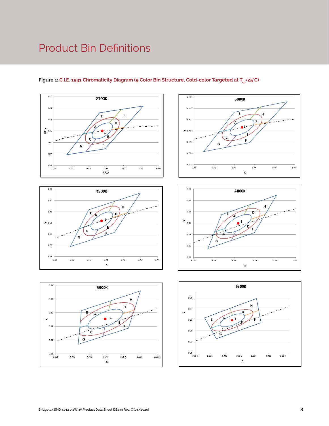## Product Bin Definitions



Н

 $0.42\,$ 

 $0.43\,$ 

 $0.44$ 

 $\overline{D}$ 

٠

 $0.41\,$ 

X

 $\mathbf c$ 

 $0.40\,$ 

G

 $0.39\,$ 

 $0.41$ 

 $0.40$ 

 $> 0.39$ 

 $0.38$ 

 $0.37$ 

 $0.36\,$ 

 $0.38$ 



 $0.43$ 

 $0.42$ 

 $0.41$ 

 $> 0.40$ 

 $0.39$ 

 $0.38\,$ 

 $0.37$   $+$ <br>0.41



3000K

Έ

c

 $0.43\,$ 

 $\overline{\mathsf{G}}$ 

 $0.42\,$ 

 $\bullet$  $\overline{a}$ 

 $H$ 

D

 $0.44$ 

X

 $0.45\,$ 

 $0.46\,$ 



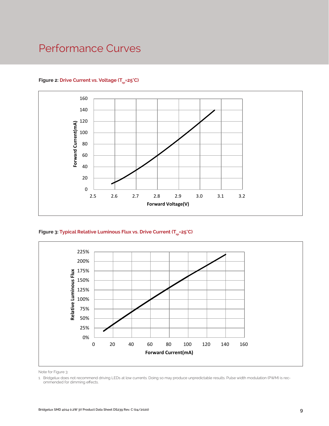## Performance Curves



## Figure 2: Drive Current vs. Voltage (T<sub>SD</sub>=25°C)





Note for Figure 3:

<sup>1.</sup> Bridgelux does not recommend driving LEDs at low currents. Doing so may produce unpredictable results. Pulse width modulation (PWM) is recommended for dimming effects.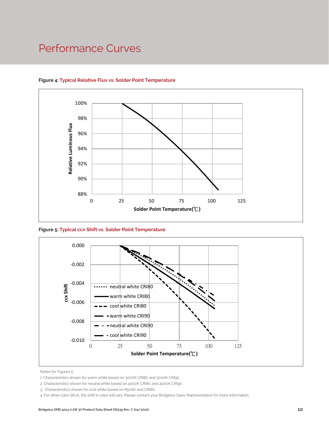## Performance Curves



#### **Figure 4: Typical Relative Flux vs. Solder Point Temperature**

**Figure 5: Typical ccx Shift vs. Solder Point Temperature**



Notes for Figures 5:

- 1. Characteristics shown for warm white based on 3000K CRI80 and 3000K CRI90 .
- 2. Characteristics shown for neutral white based on 4000K CRI80 and 4000K CRI90 .

<sup>3.</sup> Characteristics shown for cool white based on 6500K and CRI80.

<sup>4.</sup> For other color SKUs, the shift in color will vary. Please contact your Bridgelux Sales Representative for more information.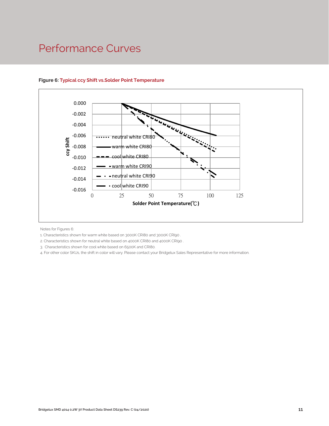## Performance Curves



## **Figure 6: Typical ccy Shift vs.Solder Point Temperature**

Notes for Figures 6:

1. Characteristics shown for warm white based on 3000K CRI80 and 3000K CRI90 .

2. Characteristics shown for neutral white based on 4000K CRI80 and 4000K CRI90 .

3. Characteristics shown for cool white based on 6500K and CRI80.

4. For other color SKUs, the shift in color will vary. Please contact your Bridgelux Sales Representative for more information.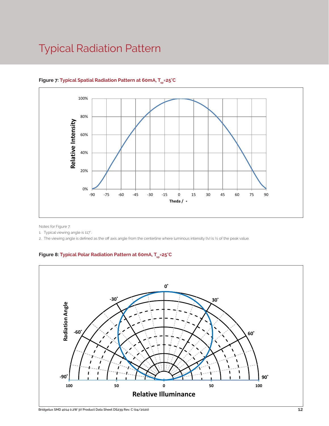## Typical Radiation Pattern



## Figure 7: Typical Spatial Radiation Pattern at 60mA, T<sub>er</sub>=25°C

Notes for Figure 7:

1. Typical viewing angle is 117°.

2. The viewing angle is defined as the off axis angle from the centerline where luminous intensity (Iv) is ½ of the peak value.

Figure 8: Typical Polar Radiation Pattern at 60mA, T<sub>sp</sub>=25°C

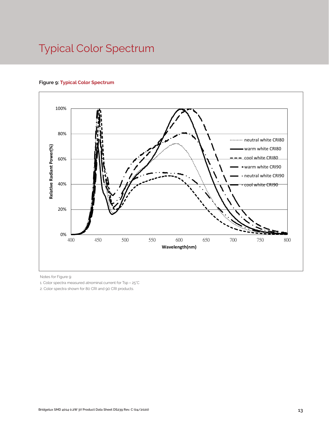## Typical Color Spectrum

#### **Figure 9: Typical Color Spectrum**



Notes for Figure 9:

1. Color spectra measured atnominal current for Tsp = 25°C

2. Color spectra shown for 80 CRI and 90 CRI products.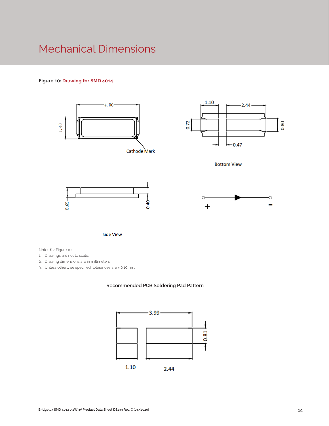## Mechanical Dimensions

## **Figure 10: Drawing for SMD 4014**



**Side View** 

Notes for Figure 10:

1. Drawings are not to scale.

2. Drawing dimensions are in millimeters.

3. Unless otherwise specified, tolerances are ± 0.10mm.

#### **Recommended PCB Soldering Pad Pattern**

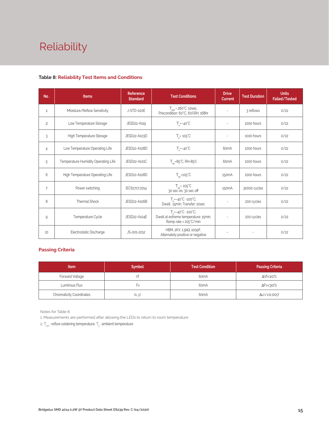# Reliability

#### **Table 8: Reliability Test Items and Conditions**

| No.            | <b>Items</b>                        | Reference<br><b>Standard</b> | <b>Test Conditions</b>                                                                                    | <b>Drive</b><br><b>Current</b> | <b>Test Duration</b> | <b>Units</b><br>Failed/Tested |
|----------------|-------------------------------------|------------------------------|-----------------------------------------------------------------------------------------------------------|--------------------------------|----------------------|-------------------------------|
| $\mathbf{1}$   | Moisture/Reflow Sensitivity         | J-STD-020E                   | $Tstd = 260°C$ , 10sec,<br>Precondition: 60°C, 60%RH, 168hr                                               | ٠                              | 3 reflows            | 0/22                          |
| $\overline{c}$ | Low Temperature Storage             | JESD22-A119                  | $T_a = -40^{\circ}C$                                                                                      | $\sim$                         | 1000 hours           | 0/22                          |
| 3              | High Temperature Storage            | JESD22-A103D                 | $T_a = 105^{\circ}C$                                                                                      |                                | 1000 hours           | 0/22                          |
| $\overline{4}$ | Low Temperature Operating Life      | JESD22-A108D                 | $T_a = -40^{\circ}C$                                                                                      | 60 <sub>m</sub> A              | 1000 hours           | 0/22                          |
| 5              | Temperature Humidity Operating Life | JESD22-A101C                 | $T_{\rm SD} = 85^{\circ}$ C, RH=85%                                                                       | 60 <sub>m</sub> A              | 1000 hours           | 0/22                          |
| 6              | High Temperature Operating Life     | JESD22-A108D                 | $T_{\rm sn}$ =105°C                                                                                       | 150 <sub>m</sub> A             | 1000 hours           | 0/22                          |
| 7              | Power switching                     | IEC62717:2014                | $T_{\rm SD}$ = 105 $\degree$ C<br>30 sec on, 30 sec off                                                   | 150 <sub>m</sub> A             | 30000 cycles         | 0/22                          |
| 8              | Thermal Shock                       | JESD22-A106B                 | $T_a = -40^{\circ}C - 100^{\circ}C$ ;<br>Dwell: 15min; Transfer: 10sec                                    |                                | 200 cycles           | 0/22                          |
| 9              | Temperature Cycle                   | JESD22-A104E                 | $T_a = -40^{\circ}C \sim 100^{\circ}C$ ;<br>Dwell at extreme temperature: 15min;<br>Ramp rate < 105°C/min |                                | 200 cycles           | 0/22                          |
| 10             | Electrostatic Discharge             | JS-001-2012                  | HBM, 2KV, 1.5kΩ, 100pF,<br>Alternately positive or negative                                               |                                |                      | 0/22                          |

## **Passing Criteria**

| <b>Item</b>                     | <b>Symbol</b> | Test Condition    | <b>Passing Criteria</b> |
|---------------------------------|---------------|-------------------|-------------------------|
| Forward Voltage                 | Vf            | 60 <sub>m</sub> A | ΔVf<10%                 |
| Luminous Flux                   | ŀ٧            |                   | ∆Fv<30%                 |
| <b>Chromaticity Coordinates</b> | (x, y)        | 60 <sub>m</sub> A | Δu'v'<0.007             |

Notes for Table 8:

1. Measurements are performed after allowing the LEDs to return to room temperature

2.  $T_{\text{std}}$ : reflow soldering temperature;  $T_{\text{a}}$ : ambient temperature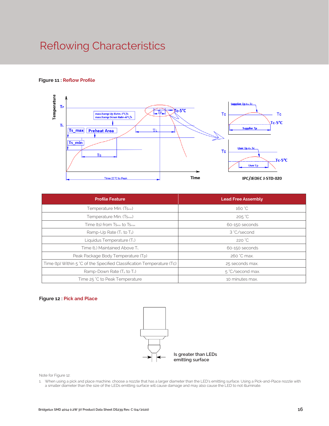## Reflowing Characteristics

#### **Figure 11 : Reflow Profile**



| <b>Profile Feature</b>                                                 | <b>Lead Free Assembly</b> |
|------------------------------------------------------------------------|---------------------------|
| Temperature Min. (Tsmin)                                               | 160 °C                    |
| Temperature Min. (T <sub>Smax</sub> )                                  | $205 \degree C$           |
| Time (ts) from Ts <sub>min</sub> to Ts <sub>max</sub>                  | 60-150 seconds            |
| Ramp-Up Rate $(T_L$ to $T_p$ )                                         | 3 °C/second               |
| Liquidus Temperature (TL)                                              | 220 °C                    |
| Time (tL) Maintained Above TL                                          | 60-150 seconds            |
| Peak Package Body Temperature (Tp)                                     | 260 °C max.               |
| Time (tp) Within 5 °C of the Specified Classification Temperature (Tc) | 25 seconds max.           |
| Ramp-Down Rate $(T_P$ to $T_L$ )                                       | 5 °C/second max.          |
| Time 25 °C to Peak Temperature                                         | 10 minutes max.           |

#### **Figure 12 : Pick and Place**



Note for Figure 12:

1. When using a pick and place machine, choose a nozzle that has a larger diameter than the LED's emitting surface. Using a Pick-and-Place nozzle with a smaller diameter than the size of the LEDs emitting surface will cause damage and may also cause the LED to not illuminate.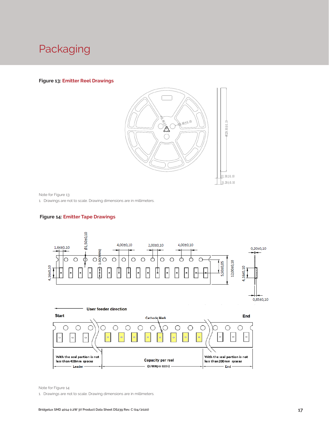## Packaging

#### **Figure 13: Emitter Reel Drawings**



Note for Figure 13:

1. Drawings are not to scale. Drawing dimensions are in millimeters.

#### **Figure 14: Emitter Tape Drawings**



Note for Figure 14:

1. Drawings are not to scale. Drawing dimensions are in millimeters.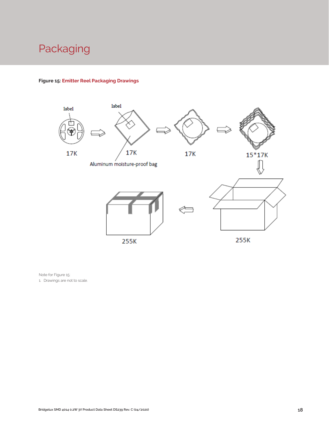## Packaging

## **Figure 15: Emitter Reel Packaging Drawings**



Note for Figure 15:

1. Drawings are not to scale.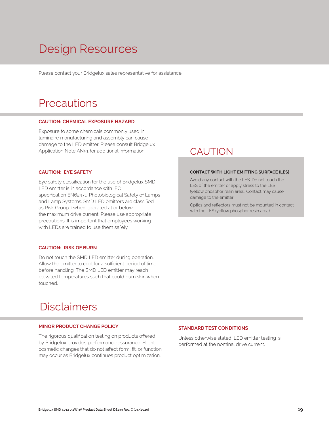## Design Resources

Please contact your Bridgelux sales representative for assistance.

## **Precautions**

#### **CAUTION: CHEMICAL EXPOSURE HAZARD**

Exposure to some chemicals commonly used in luminaire manufacturing and assembly can cause damage to the LED emitter. Please consult Bridgelux Application Note AN51 for additional information.

#### **CAUTION: EYE SAFETY**

Eye safety classification for the use of Bridgelux SMD LED emitter is in accordance with IEC specification EN62471: Photobiological Safety of Lamps and Lamp Systems. SMD LED emitters are classified as Risk Group 1 when operated at or below the maximum drive current. Please use appropriate precautions. It is important that employees working with LEDs are trained to use them safely.

#### **CAUTION: RISK OF BURN**

Do not touch the SMD LED emitter during operation. Allow the emitter to cool for a sufficient period of time before handling. The SMD LED emitter may reach elevated temperatures such that could burn skin when touched.

## **Disclaimers**

#### **MINOR PRODUCT CHANGE POLICY**

The rigorous qualification testing on products offered by Bridgelux provides performance assurance. Slight cosmetic changes that do not affect form, fit, or function may occur as Bridgelux continues product optimization.

## CAUTION

#### **CONTACT WITH LIGHT EMITTING SURFACE (LES)**

Avoid any contact with the LES. Do not touch the LES of the emitter or apply stress to the LES (yellow phosphor resin area). Contact may cause damage to the emitter

Optics and reflectors must not be mounted in contact with the LES (yellow phosphor resin area).

#### **STANDARD TEST CONDITIONS**

Unless otherwise stated, LED emitter testing is performed at the nominal drive current.